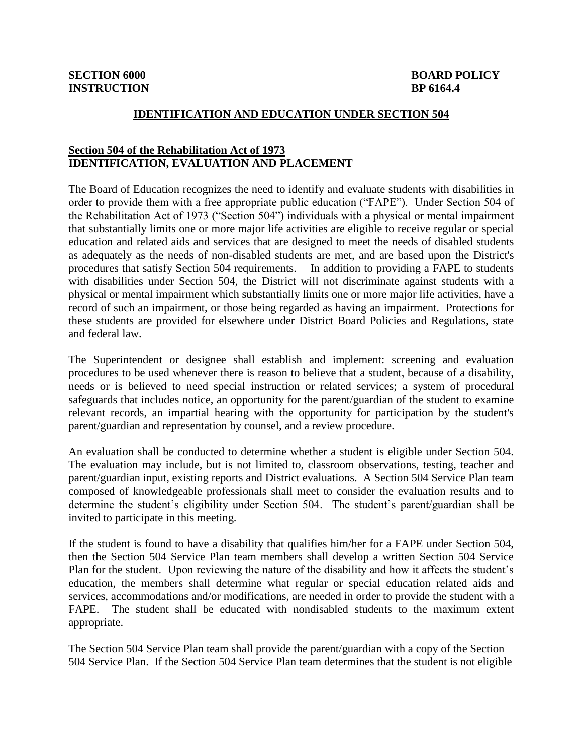#### **IDENTIFICATION AND EDUCATION UNDER SECTION 504**

## **Section 504 of the Rehabilitation Act of 1973 IDENTIFICATION, EVALUATION AND PLACEMENT**

The Board of Education recognizes the need to identify and evaluate students with disabilities in order to provide them with a free appropriate public education ("FAPE"). Under Section 504 of the Rehabilitation Act of 1973 ("Section 504") individuals with a physical or mental impairment that substantially limits one or more major life activities are eligible to receive regular or special education and related aids and services that are designed to meet the needs of disabled students as adequately as the needs of non-disabled students are met, and are based upon the District's procedures that satisfy Section 504 requirements. In addition to providing a FAPE to students with disabilities under Section 504, the District will not discriminate against students with a physical or mental impairment which substantially limits one or more major life activities, have a record of such an impairment, or those being regarded as having an impairment. Protections for these students are provided for elsewhere under District Board Policies and Regulations, state and federal law.

The Superintendent or designee shall establish and implement: screening and evaluation procedures to be used whenever there is reason to believe that a student, because of a disability, needs or is believed to need special instruction or related services; a system of procedural safeguards that includes notice, an opportunity for the parent/guardian of the student to examine relevant records, an impartial hearing with the opportunity for participation by the student's parent/guardian and representation by counsel, and a review procedure.

An evaluation shall be conducted to determine whether a student is eligible under Section 504. The evaluation may include, but is not limited to, classroom observations, testing, teacher and parent/guardian input, existing reports and District evaluations. A Section 504 Service Plan team composed of knowledgeable professionals shall meet to consider the evaluation results and to determine the student's eligibility under Section 504. The student's parent/guardian shall be invited to participate in this meeting.

If the student is found to have a disability that qualifies him/her for a FAPE under Section 504, then the Section 504 Service Plan team members shall develop a written Section 504 Service Plan for the student. Upon reviewing the nature of the disability and how it affects the student's education, the members shall determine what regular or special education related aids and services, accommodations and/or modifications, are needed in order to provide the student with a FAPE. The student shall be educated with nondisabled students to the maximum extent appropriate.

The Section 504 Service Plan team shall provide the parent/guardian with a copy of the Section 504 Service Plan. If the Section 504 Service Plan team determines that the student is not eligible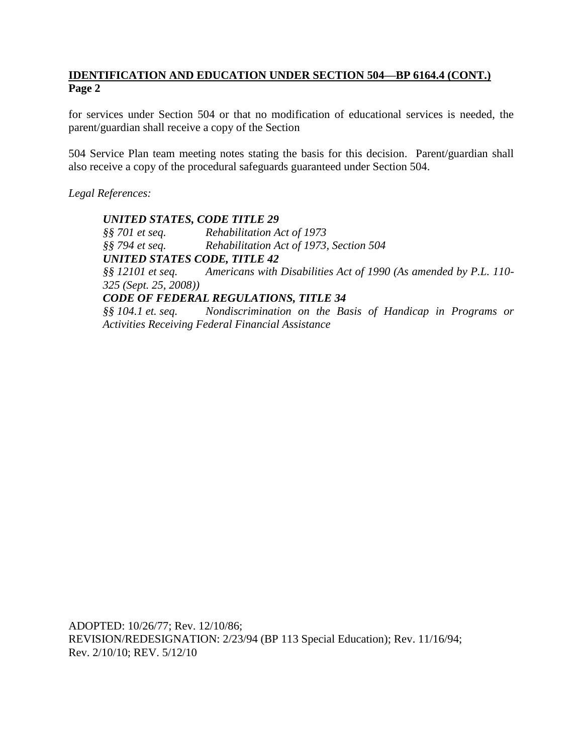for services under Section 504 or that no modification of educational services is needed, the parent/guardian shall receive a copy of the Section

504 Service Plan team meeting notes stating the basis for this decision. Parent/guardian shall also receive a copy of the procedural safeguards guaranteed under Section 504.

*Legal References:*

*UNITED STATES, CODE TITLE 29 §§ 701 et seq. Rehabilitation Act of 1973 §§ 794 et seq. Rehabilitation Act of 1973, Section 504 UNITED STATES CODE, TITLE 42 §§ 12101 et seq. Americans with Disabilities Act of 1990 (As amended by P.L. 110- 325 (Sept. 25, 2008)) CODE OF FEDERAL REGULATIONS, TITLE 34 §§ 104.1 et. seq. Nondiscrimination on the Basis of Handicap in Programs or Activities Receiving Federal Financial Assistance* 

ADOPTED: 10/26/77; Rev. 12/10/86; REVISION/REDESIGNATION: 2/23/94 (BP 113 Special Education); Rev. 11/16/94; Rev. 2/10/10; REV. 5/12/10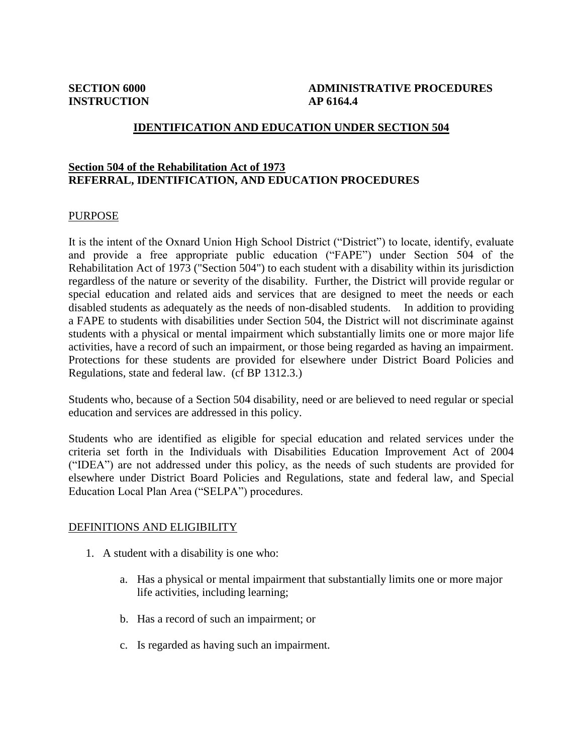# **SECTION 6000 ADMINISTRATIVE PROCEDURES**

## **IDENTIFICATION AND EDUCATION UNDER SECTION 504**

## **Section 504 of the Rehabilitation Act of 1973 REFERRAL, IDENTIFICATION, AND EDUCATION PROCEDURES**

#### PURPOSE

It is the intent of the Oxnard Union High School District ("District") to locate, identify, evaluate and provide a free appropriate public education ("FAPE") under Section 504 of the Rehabilitation Act of 1973 ("Section 504") to each student with a disability within its jurisdiction regardless of the nature or severity of the disability. Further, the District will provide regular or special education and related aids and services that are designed to meet the needs or each disabled students as adequately as the needs of non-disabled students. In addition to providing a FAPE to students with disabilities under Section 504, the District will not discriminate against students with a physical or mental impairment which substantially limits one or more major life activities, have a record of such an impairment, or those being regarded as having an impairment. Protections for these students are provided for elsewhere under District Board Policies and Regulations, state and federal law. (cf BP 1312.3.)

Students who, because of a Section 504 disability, need or are believed to need regular or special education and services are addressed in this policy.

Students who are identified as eligible for special education and related services under the criteria set forth in the Individuals with Disabilities Education Improvement Act of 2004 ("IDEA") are not addressed under this policy, as the needs of such students are provided for elsewhere under District Board Policies and Regulations, state and federal law, and Special Education Local Plan Area ("SELPA") procedures.

## DEFINITIONS AND ELIGIBILITY

- 1. A student with a disability is one who:
	- a. Has a physical or mental impairment that substantially limits one or more major life activities, including learning;
	- b. Has a record of such an impairment; or
	- c. Is regarded as having such an impairment.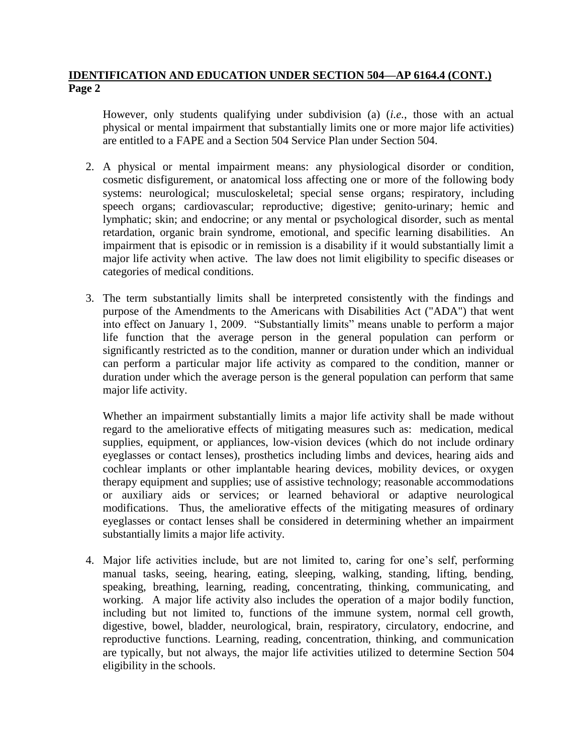However, only students qualifying under subdivision (a) (*i.e.*, those with an actual physical or mental impairment that substantially limits one or more major life activities) are entitled to a FAPE and a Section 504 Service Plan under Section 504.

- 2. A physical or mental impairment means: any physiological disorder or condition, cosmetic disfigurement, or anatomical loss affecting one or more of the following body systems: neurological; musculoskeletal; special sense organs; respiratory, including speech organs; cardiovascular; reproductive; digestive; genito-urinary; hemic and lymphatic; skin; and endocrine; or any mental or psychological disorder, such as mental retardation, organic brain syndrome, emotional, and specific learning disabilities. An impairment that is episodic or in remission is a disability if it would substantially limit a major life activity when active. The law does not limit eligibility to specific diseases or categories of medical conditions.
- 3. The term substantially limits shall be interpreted consistently with the findings and purpose of the Amendments to the Americans with Disabilities Act ("ADA") that went into effect on January 1, 2009. "Substantially limits" means unable to perform a major life function that the average person in the general population can perform or significantly restricted as to the condition, manner or duration under which an individual can perform a particular major life activity as compared to the condition, manner or duration under which the average person is the general population can perform that same major life activity.

Whether an impairment substantially limits a major life activity shall be made without regard to the ameliorative effects of mitigating measures such as: medication, medical supplies, equipment, or appliances, low-vision devices (which do not include ordinary eyeglasses or contact lenses), prosthetics including limbs and devices, hearing aids and cochlear implants or other implantable hearing devices, mobility devices, or oxygen therapy equipment and supplies; use of assistive technology; reasonable accommodations or auxiliary aids or services; or learned behavioral or adaptive neurological modifications. Thus, the ameliorative effects of the mitigating measures of ordinary eyeglasses or contact lenses shall be considered in determining whether an impairment substantially limits a major life activity.

4. Major life activities include, but are not limited to, caring for one's self, performing manual tasks, seeing, hearing, eating, sleeping, walking, standing, lifting, bending, speaking, breathing, learning, reading, concentrating, thinking, communicating, and working. A major life activity also includes the operation of a major bodily function, including but not limited to, functions of the immune system, normal cell growth, digestive, bowel, bladder, neurological, brain, respiratory, circulatory, endocrine, and reproductive functions. Learning, reading, concentration, thinking, and communication are typically, but not always, the major life activities utilized to determine Section 504 eligibility in the schools.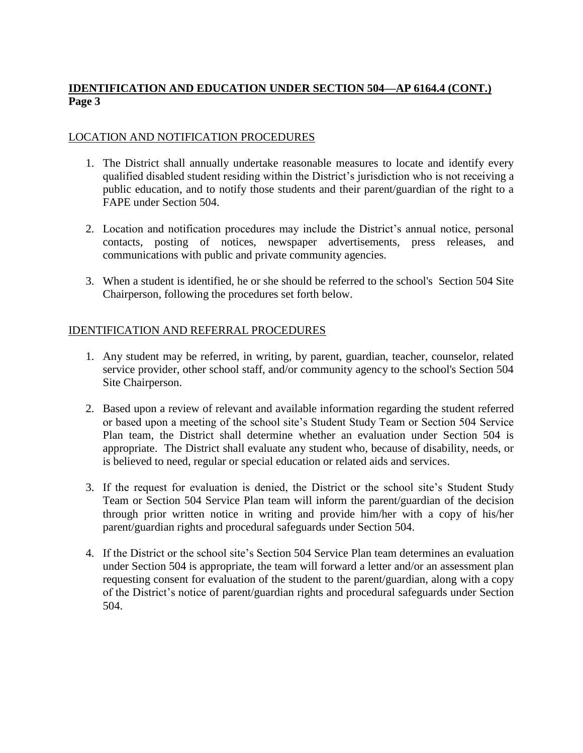# LOCATION AND NOTIFICATION PROCEDURES

- 1. The District shall annually undertake reasonable measures to locate and identify every qualified disabled student residing within the District's jurisdiction who is not receiving a public education, and to notify those students and their parent/guardian of the right to a FAPE under Section 504.
- 2. Location and notification procedures may include the District's annual notice, personal contacts, posting of notices, newspaper advertisements, press releases, and communications with public and private community agencies.
- 3. When a student is identified, he or she should be referred to the school's Section 504 Site Chairperson, following the procedures set forth below.

# IDENTIFICATION AND REFERRAL PROCEDURES

- 1. Any student may be referred, in writing, by parent, guardian, teacher, counselor, related service provider, other school staff, and/or community agency to the school's Section 504 Site Chairperson.
- 2. Based upon a review of relevant and available information regarding the student referred or based upon a meeting of the school site's Student Study Team or Section 504 Service Plan team, the District shall determine whether an evaluation under Section 504 is appropriate. The District shall evaluate any student who, because of disability, needs, or is believed to need, regular or special education or related aids and services.
- 3. If the request for evaluation is denied, the District or the school site's Student Study Team or Section 504 Service Plan team will inform the parent/guardian of the decision through prior written notice in writing and provide him/her with a copy of his/her parent/guardian rights and procedural safeguards under Section 504.
- 4. If the District or the school site's Section 504 Service Plan team determines an evaluation under Section 504 is appropriate, the team will forward a letter and/or an assessment plan requesting consent for evaluation of the student to the parent/guardian, along with a copy of the District's notice of parent/guardian rights and procedural safeguards under Section 504.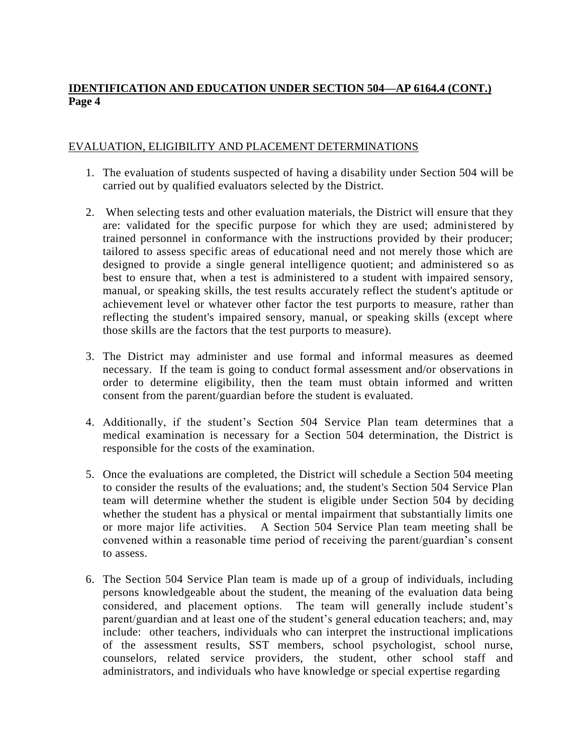# EVALUATION, ELIGIBILITY AND PLACEMENT DETERMINATIONS

- 1. The evaluation of students suspected of having a disability under Section 504 will be carried out by qualified evaluators selected by the District.
- 2. When selecting tests and other evaluation materials, the District will ensure that they are: validated for the specific purpose for which they are used; administered by trained personnel in conformance with the instructions provided by their producer; tailored to assess specific areas of educational need and not merely those which are designed to provide a single general intelligence quotient; and administered so as best to ensure that, when a test is administered to a student with impaired sensory, manual, or speaking skills, the test results accurately reflect the student's aptitude or achievement level or whatever other factor the test purports to measure, rather than reflecting the student's impaired sensory, manual, or speaking skills (except where those skills are the factors that the test purports to measure).
- 3. The District may administer and use formal and informal measures as deemed necessary. If the team is going to conduct formal assessment and/or observations in order to determine eligibility, then the team must obtain informed and written consent from the parent/guardian before the student is evaluated.
- 4. Additionally, if the student's Section 504 Service Plan team determines that a medical examination is necessary for a Section 504 determination, the District is responsible for the costs of the examination.
- 5. Once the evaluations are completed, the District will schedule a Section 504 meeting to consider the results of the evaluations; and, the student's Section 504 Service Plan team will determine whether the student is eligible under Section 504 by deciding whether the student has a physical or mental impairment that substantially limits one or more major life activities. A Section 504 Service Plan team meeting shall be convened within a reasonable time period of receiving the parent/guardian's consent to assess.
- 6. The Section 504 Service Plan team is made up of a group of individuals, including persons knowledgeable about the student, the meaning of the evaluation data being considered, and placement options. The team will generally include student's parent/guardian and at least one of the student's general education teachers; and, may include: other teachers, individuals who can interpret the instructional implications of the assessment results, SST members, school psychologist, school nurse, counselors, related service providers, the student, other school staff and administrators, and individuals who have knowledge or special expertise regarding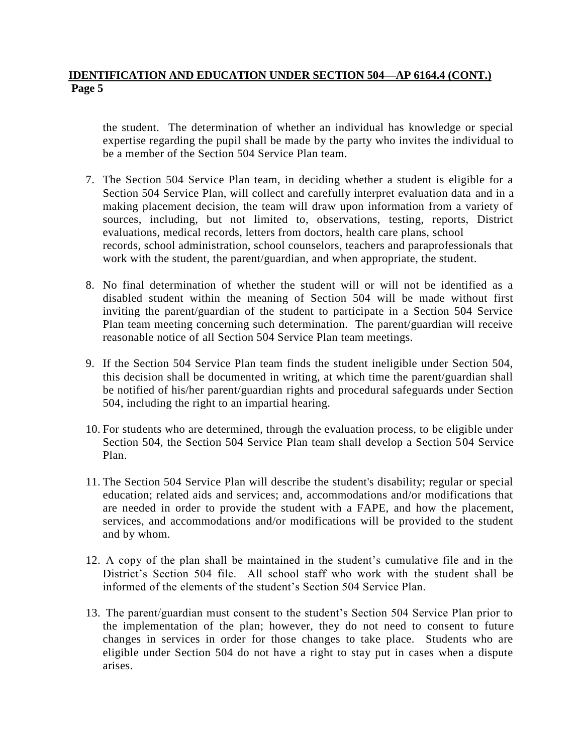the student. The determination of whether an individual has knowledge or special expertise regarding the pupil shall be made by the party who invites the individual to be a member of the Section 504 Service Plan team.

- 7. The Section 504 Service Plan team, in deciding whether a student is eligible for a Section 504 Service Plan, will collect and carefully interpret evaluation data and in a making placement decision, the team will draw upon information from a variety of sources, including, but not limited to, observations, testing, reports, District evaluations, medical records, letters from doctors, health care plans, school records, school administration, school counselors, teachers and paraprofessionals that work with the student, the parent/guardian, and when appropriate, the student.
- 8. No final determination of whether the student will or will not be identified as a disabled student within the meaning of Section 504 will be made without first inviting the parent/guardian of the student to participate in a Section 504 Service Plan team meeting concerning such determination. The parent/guardian will receive reasonable notice of all Section 504 Service Plan team meetings.
- 9. If the Section 504 Service Plan team finds the student ineligible under Section 504, this decision shall be documented in writing, at which time the parent/guardian shall be notified of his/her parent/guardian rights and procedural safeguards under Section 504, including the right to an impartial hearing.
- 10. For students who are determined, through the evaluation process, to be eligible under Section 504, the Section 504 Service Plan team shall develop a Section 504 Service Plan.
- 11. The Section 504 Service Plan will describe the student's disability; regular or special education; related aids and services; and, accommodations and/or modifications that are needed in order to provide the student with a FAPE, and how the placement, services, and accommodations and/or modifications will be provided to the student and by whom.
- 12. A copy of the plan shall be maintained in the student's cumulative file and in the District's Section 504 file. All school staff who work with the student shall be informed of the elements of the student's Section 504 Service Plan.
- 13. The parent/guardian must consent to the student's Section 504 Service Plan prior to the implementation of the plan; however, they do not need to consent to future changes in services in order for those changes to take place. Students who are eligible under Section 504 do not have a right to stay put in cases when a dispute arises.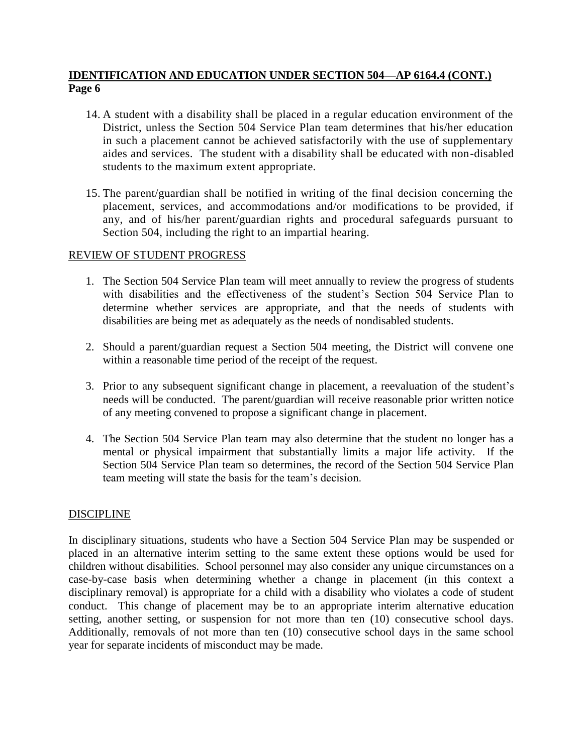- 14. A student with a disability shall be placed in a regular education environment of the District, unless the Section 504 Service Plan team determines that his/her education in such a placement cannot be achieved satisfactorily with the use of supplementary aides and services. The student with a disability shall be educated with non-disabled students to the maximum extent appropriate.
- 15. The parent/guardian shall be notified in writing of the final decision concerning the placement, services, and accommodations and/or modifications to be provided, if any, and of his/her parent/guardian rights and procedural safeguards pursuant to Section 504, including the right to an impartial hearing.

## REVIEW OF STUDENT PROGRESS

- 1. The Section 504 Service Plan team will meet annually to review the progress of students with disabilities and the effectiveness of the student's Section 504 Service Plan to determine whether services are appropriate, and that the needs of students with disabilities are being met as adequately as the needs of nondisabled students.
- 2. Should a parent/guardian request a Section 504 meeting, the District will convene one within a reasonable time period of the receipt of the request.
- 3. Prior to any subsequent significant change in placement, a reevaluation of the student's needs will be conducted. The parent/guardian will receive reasonable prior written notice of any meeting convened to propose a significant change in placement.
- 4. The Section 504 Service Plan team may also determine that the student no longer has a mental or physical impairment that substantially limits a major life activity. If the Section 504 Service Plan team so determines, the record of the Section 504 Service Plan team meeting will state the basis for the team's decision.

## **DISCIPLINE**

In disciplinary situations, students who have a Section 504 Service Plan may be suspended or placed in an alternative interim setting to the same extent these options would be used for children without disabilities. School personnel may also consider any unique circumstances on a case-by-case basis when determining whether a change in placement (in this context a disciplinary removal) is appropriate for a child with a disability who violates a code of student conduct. This change of placement may be to an appropriate interim alternative education setting, another setting, or suspension for not more than ten (10) consecutive school days. Additionally, removals of not more than ten (10) consecutive school days in the same school year for separate incidents of misconduct may be made.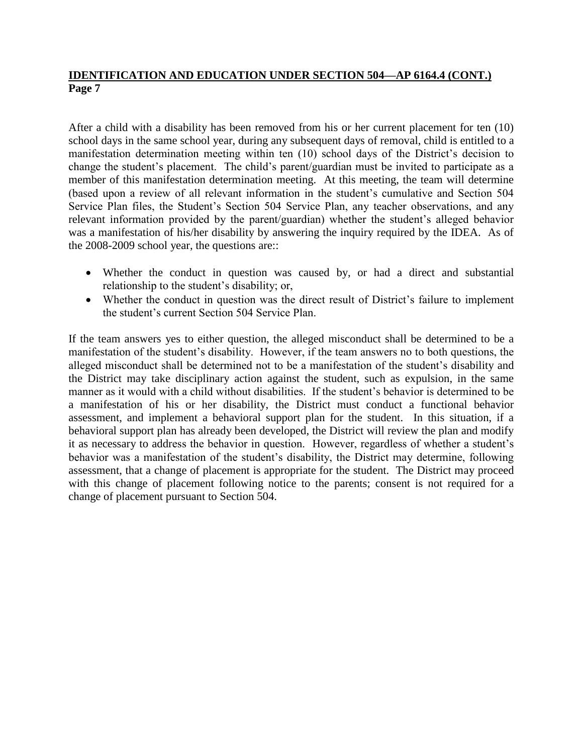After a child with a disability has been removed from his or her current placement for ten (10) school days in the same school year, during any subsequent days of removal, child is entitled to a manifestation determination meeting within ten (10) school days of the District's decision to change the student's placement. The child's parent/guardian must be invited to participate as a member of this manifestation determination meeting. At this meeting, the team will determine (based upon a review of all relevant information in the student's cumulative and Section 504 Service Plan files, the Student's Section 504 Service Plan, any teacher observations, and any relevant information provided by the parent/guardian) whether the student's alleged behavior was a manifestation of his/her disability by answering the inquiry required by the IDEA. As of the 2008-2009 school year, the questions are::

- Whether the conduct in question was caused by, or had a direct and substantial relationship to the student's disability; or,
- Whether the conduct in question was the direct result of District's failure to implement the student's current Section 504 Service Plan.

If the team answers yes to either question, the alleged misconduct shall be determined to be a manifestation of the student's disability. However, if the team answers no to both questions, the alleged misconduct shall be determined not to be a manifestation of the student's disability and the District may take disciplinary action against the student, such as expulsion, in the same manner as it would with a child without disabilities. If the student's behavior is determined to be a manifestation of his or her disability, the District must conduct a functional behavior assessment, and implement a behavioral support plan for the student. In this situation, if a behavioral support plan has already been developed, the District will review the plan and modify it as necessary to address the behavior in question. However, regardless of whether a student's behavior was a manifestation of the student's disability, the District may determine, following assessment, that a change of placement is appropriate for the student. The District may proceed with this change of placement following notice to the parents; consent is not required for a change of placement pursuant to Section 504.